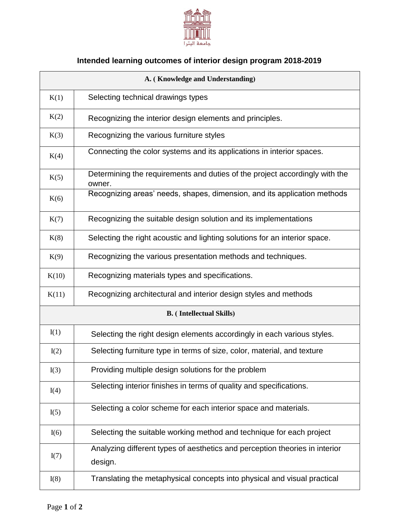

## **Intended learning outcomes of interior design program 2018-2019**

| A. (Knowledge and Understanding) |                                                                                        |  |
|----------------------------------|----------------------------------------------------------------------------------------|--|
| K(1)                             | Selecting technical drawings types                                                     |  |
| K(2)                             | Recognizing the interior design elements and principles.                               |  |
| K(3)                             | Recognizing the various furniture styles                                               |  |
| K(4)                             | Connecting the color systems and its applications in interior spaces.                  |  |
| K(5)                             | Determining the requirements and duties of the project accordingly with the<br>owner.  |  |
| K(6)                             | Recognizing areas' needs, shapes, dimension, and its application methods               |  |
| K(7)                             | Recognizing the suitable design solution and its implementations                       |  |
| K(8)                             | Selecting the right acoustic and lighting solutions for an interior space.             |  |
| K(9)                             | Recognizing the various presentation methods and techniques.                           |  |
| K(10)                            | Recognizing materials types and specifications.                                        |  |
| K(11)                            | Recognizing architectural and interior design styles and methods                       |  |
| <b>B.</b> (Intellectual Skills)  |                                                                                        |  |
| I(1)                             | Selecting the right design elements accordingly in each various styles.                |  |
| I(2)                             | Selecting furniture type in terms of size, color, material, and texture                |  |
| I(3)                             | Providing multiple design solutions for the problem                                    |  |
| I(4)                             | Selecting interior finishes in terms of quality and specifications.                    |  |
| I(5)                             | Selecting a color scheme for each interior space and materials.                        |  |
| I(6)                             | Selecting the suitable working method and technique for each project                   |  |
| I(7)                             | Analyzing different types of aesthetics and perception theories in interior<br>design. |  |
| I(8)                             | Translating the metaphysical concepts into physical and visual practical               |  |